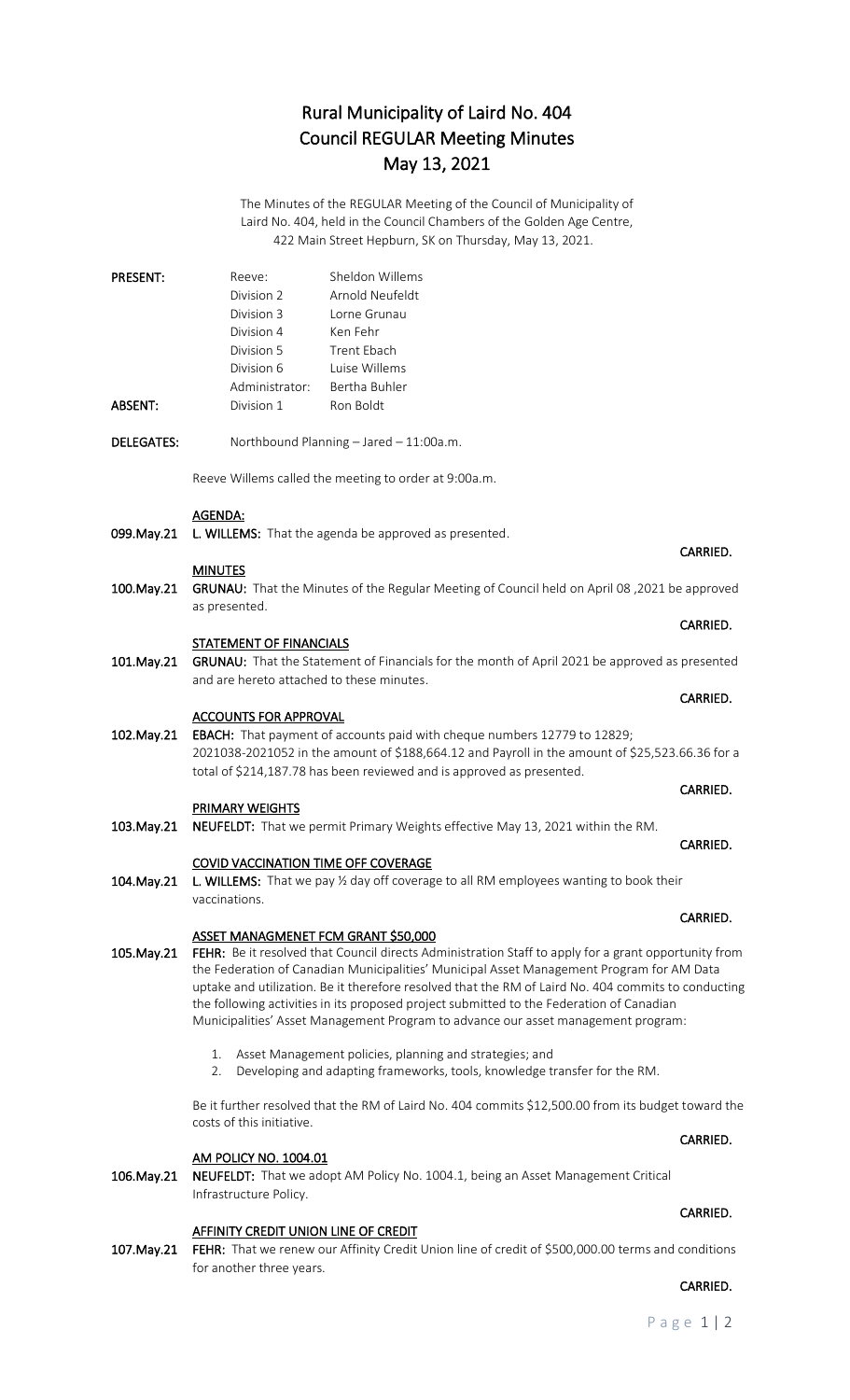# Rural Municipality of Laird No. 404 Council REGULAR Meeting Minutes May 13, 2021

The Minutes of the REGULAR Meeting of the Council of Municipality of Laird No. 404, held in the Council Chambers of the Golden Age Centre, 422 Main Street Hepburn, SK on Thursday, May 13, 2021.

| <b>PRESENT:</b> | Reeve:         | Sheldon Willems |
|-----------------|----------------|-----------------|
|                 | Division 2     | Arnold Neufeldt |
|                 | Division 3     | Lorne Grunau    |
|                 | Division 4     | Ken Fehr        |
|                 | Division 5     | Trent Fhach     |
|                 | Division 6     | Luise Willems   |
|                 | Administrator: | Bertha Buhler   |
| ABSENT:         | Division 1     | Ron Boldt       |

DELEGATES: Northbound Planning – Jared – 11:00a.m.

Reeve Willems called the meeting to order at 9:00a.m.

### AGENDA:

099. May. 21 L. WILLEMS: That the agenda be approved as presented.

### MINUTES

100.May.21 GRUNAU: That the Minutes of the Regular Meeting of Council held on April 08 ,2021 be approved as presented.

**CARRIED. CARRIED.** 

### STATEMENT OF FINANCIALS

101. May.21 GRUNAU: That the Statement of Financials for the month of April 2021 be approved as presented and are hereto attached to these minutes.

**CARRIED. CARRIED.** 

### ACCOUNTS FOR APPROVAL

102.May.21 EBACH: That payment of accounts paid with cheque numbers 12779 to 12829; 2021038-2021052 in the amount of \$188,664.12 and Payroll in the amount of \$25,523.66.36 for a total of \$214,187.78 has been reviewed and is approved as presented.

**CARRIED. CARRIED.** 

**CARRIED.** The contract of the contract of the contract of the contract of the contract of the contract of the contract of the contract of the contract of the contract of the contract of the contract of the contract of the

## PRIMARY WEIGHTS

103.May.21 NEUFELDT: That we permit Primary Weights effective May 13, 2021 within the RM.

### COVID VACCINATION TIME OFF COVERAGE

104. May.21 L. WILLEMS: That we pay 1/2 day off coverage to all RM employees wanting to book their vaccinations.

### ASSET MANAGMENET FCM GRANT \$50,000

105. May.21 FEHR: Be it resolved that Council directs Administration Staff to apply for a grant opportunity from the Federation of Canadian Municipalities' Municipal Asset Management Program for AM Data uptake and utilization. Be it therefore resolved that the RM of Laird No. 404 commits to conducting the following activities in its proposed project submitted to the Federation of Canadian Municipalities' Asset Management Program to advance our asset management program:

- 1. Asset Management policies, planning and strategies; and
- 2. Developing and adapting frameworks, tools, knowledge transfer for the RM.

Be it further resolved that the RM of Laird No. 404 commits \$12,500.00 from its budget toward the costs of this initiative.

### AM POLICY NO. 1004.01

106.May.21 NEUFELDT: That we adopt AM Policy No. 1004.1, being an Asset Management Critical Infrastructure Policy.

### **AFFINITY CREDIT UNION LINE OF CREDIT**

107.May.21 FEHR: That we renew our Affinity Credit Union line of credit of \$500,000.00 terms and conditions for another three years.

# **CARRIED.** The contract of the contract of the contract of the contract of the contract of the contract of the contract of the contract of the contract of the contract of the contract of the contract of the contract of the

CARRIED.

CARRIED.

CARRIED.

### **CARRIED.** The contract of the contract of the contract of the contract of the contract of the contract of the contract of the contract of the contract of the contract of the contract of the contract of the contract of the